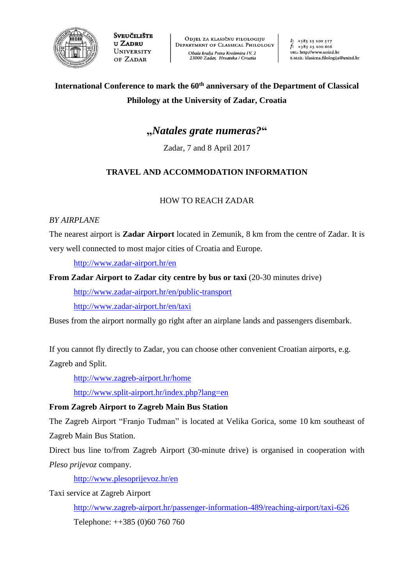

**SVEUČILIŠTE** u Zadru **UNIVERSITY** OF ZADAR

ODJEL ZA KLASIČNU FILOLOGIJU DEPARTMENT OF CLASSICAL PHILOLOGY Obala kralja Petra Krešimira IV. 2 23000 Zadar, Hrvatska / Croatia

 $t: 138523200517$  $f: +38523200606$ URL: http://www.unizd.hr E-MAIL: klasicna.filologija@unizd.hr

# **International Conference to mark the 60th anniversary of the Department of Classical Philology at the University of Zadar, Croatia**

# **"***Natales grate numeras?***"**

Zadar, 7 and 8 April 2017

# **TRAVEL AND ACCOMMODATION INFORMATION**

## HOW TO REACH ZADAR

### *BY AIRPLANE*

The nearest airport is **Zadar Airport** located in Zemunik, 8 km from the centre of Zadar. It is very well connected to most major cities of Croatia and Europe.

<http://www.zadar-airport.hr/en>

**From Zadar Airport to Zadar city centre by bus or taxi** (20-30 minutes drive)

<http://www.zadar-airport.hr/en/public-transport> <http://www.zadar-airport.hr/en/taxi>

Buses from the airport normally go right after an airplane lands and passengers disembark.

If you cannot fly directly to Zadar, you can choose other convenient Croatian airports, e.g.

Zagreb and Split.

<http://www.zagreb-airport.hr/home>

<http://www.split-airport.hr/index.php?lang=en>

## **From Zagreb Airport to Zagreb Main Bus Station**

The Zagreb Airport "Franjo Tuđman" is located at Velika Gorica, some 10 km southeast of Zagreb Main Bus Station.

Direct bus line to/from Zagreb Airport (30-minute drive) is organised in cooperation with *Pleso prijevoz* company.

<http://www.plesoprijevoz.hr/en>

Taxi service at Zagreb Airport

<http://www.zagreb-airport.hr/passenger-information-489/reaching-airport/taxi-626> Telephone: ++385 (0)60 760 760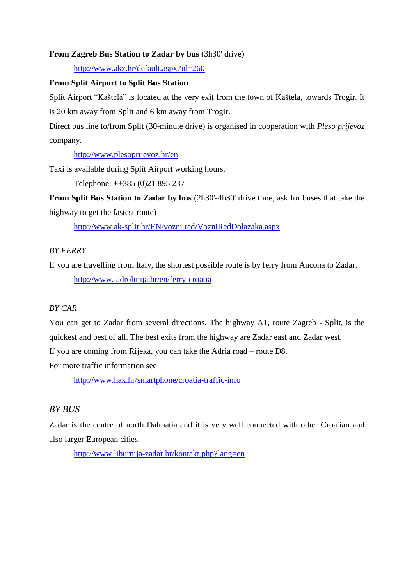#### **From Zagreb Bus Station to Zadar by bus** (3h30' drive)

<http://www.akz.hr/default.aspx?id=260>

#### **From Split Airport to Split Bus Station**

Split Airport "Kaštela" is located at the very exit from the town of Kaštela, towards Trogir. It is 20 km away from Split and 6 km away from Trogir.

Direct bus line to/from Split (30-minute drive) is organised in cooperation with *Pleso prijevoz* company.

<http://www.plesoprijevoz.hr/en>

Taxi is available during Split Airport working hours.

Telephone: ++385 (0)21 895 237

**From Split Bus Station to Zadar by bus** (2h30'-4h30' drive time, ask for buses that take the highway to get the fastest route)

<http://www.ak-split.hr/EN/vozni.red/VozniRedDolazaka.aspx>

#### *BY FERRY*

If you are travelling from Italy, the shortest possible route is by ferry from Ancona to Zadar. <http://www.jadrolinija.hr/en/ferry-croatia>

#### *BY CAR*

You can get to Zadar from several directions. The highway A1, route Zagreb - Split, is the quickest and best of all. The best exits from the highway are Zadar east and Zadar west. If you are coming from Rijeka, you can take the Adria road – route D8.

For more traffic information see

<http://www.hak.hr/smartphone/croatia-traffic-info>

## *BY BUS*

Zadar is the centre of north Dalmatia and it is very well connected with other Croatian and also larger European cities.

<http://www.liburnija-zadar.hr/kontakt.php?lang=en>